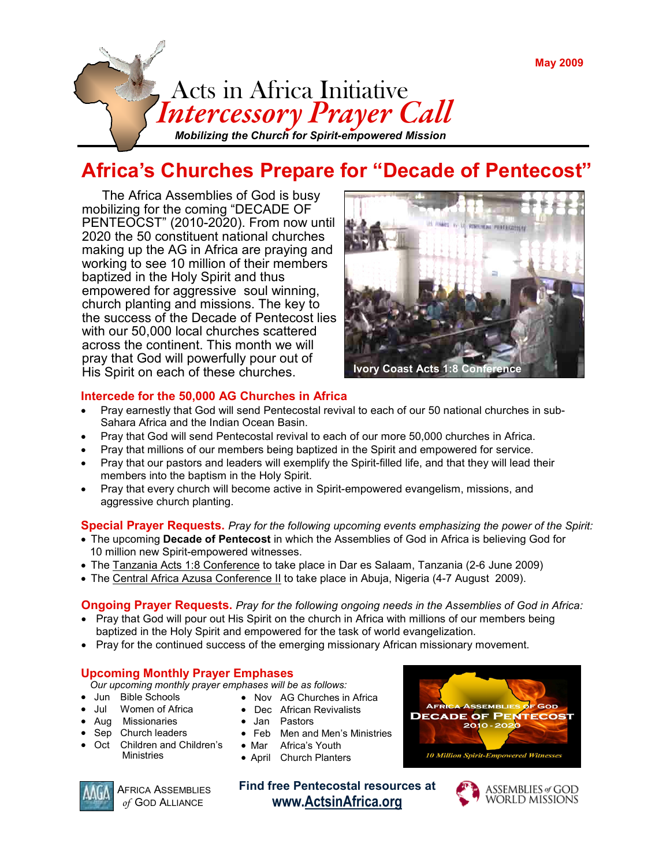

# Africa's Churches Prepare for "Decade of Pentecost"

 The Africa Assemblies of God is busy mobilizing for the coming "DECADE OF PENTEOCST" (2010-2020). From now until 2020 the 50 constituent national churches making up the AG in Africa are praying and working to see 10 million of their members baptized in the Holy Spirit and thus empowered for aggressive soul winning, church planting and missions. The key to the success of the Decade of Pentecost lies with our 50,000 local churches scattered across the continent. This month we will pray that God will powerfully pour out of His Spirit on each of these churches. Ivory Coast Acts 1:8 Conference



## Intercede for the 50,000 AG Churches in Africa

- Pray earnestly that God will send Pentecostal revival to each of our 50 national churches in sub-Sahara Africa and the Indian Ocean Basin.
- Pray that God will send Pentecostal revival to each of our more 50,000 churches in Africa.
- Pray that millions of our members being baptized in the Spirit and empowered for service.
- Pray that our pastors and leaders will exemplify the Spirit-filled life, and that they will lead their members into the baptism in the Holy Spirit.
- Pray that every church will become active in Spirit-empowered evangelism, missions, and aggressive church planting.

### Special Prayer Requests. Pray for the following upcoming events emphasizing the power of the Spirit:

- The upcoming Decade of Pentecost in which the Assemblies of God in Africa is believing God for 10 million new Spirit-empowered witnesses.
- The Tanzania Acts 1:8 Conference to take place in Dar es Salaam, Tanzania (2-6 June 2009)
- The Central Africa Azusa Conference II to take place in Abuja, Nigeria (4-7 August 2009).

#### **Ongoing Prayer Requests.** Pray for the following ongoing needs in the Assemblies of God in Africa:

- Pray that God will pour out His Spirit on the church in Africa with millions of our members being baptized in the Holy Spirit and empowered for the task of world evangelization.
- Pray for the continued success of the emerging missionary African missionary movement.

• Nov AG Churches in Africa

## Upcoming Monthly Prayer Emphases

Our upcoming monthly prayer emphases will be as follows:

- Jun Bible Schools
- Jul Women of Africa
- Aug Missionaries
- Sep Church leaders
- Oct Children and Children's Ministries
- Dec African Revivalists • Jan Pastors
- 
- Feb Men and Men's Ministries
- Mar Africa's Youth
- April Church Planters



AFRICA ASSEMBLIES of GOD ALLIANCE

Find free Pentecostal resources at www.ActsinAfrica.org



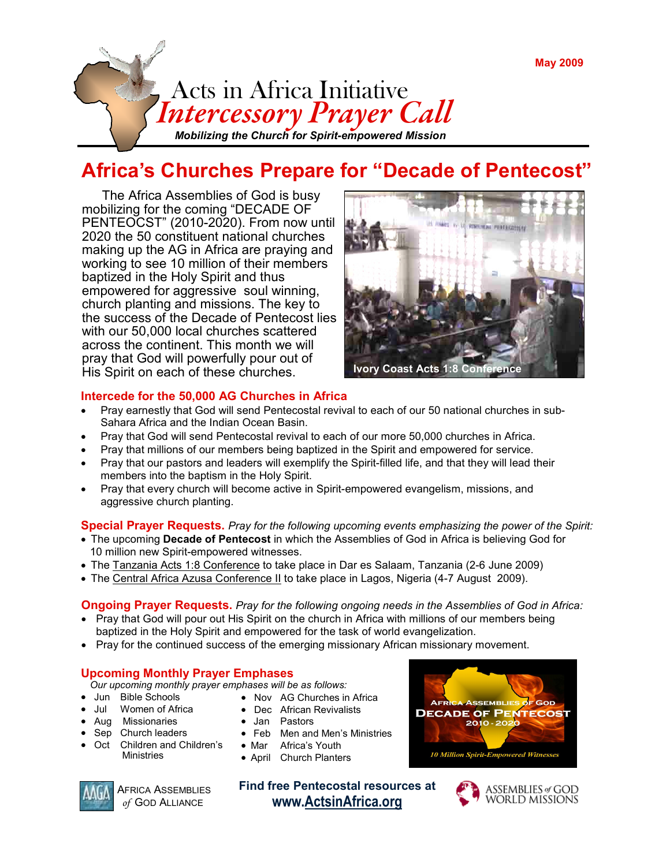

# Africa's Churches Prepare for "Decade of Pentecost"

 The Africa Assemblies of God is busy mobilizing for the coming "DECADE OF PENTEOCST" (2010-2020). From now until 2020 the 50 constituent national churches making up the AG in Africa are praying and working to see 10 million of their members baptized in the Holy Spirit and thus empowered for aggressive soul winning, church planting and missions. The key to the success of the Decade of Pentecost lies with our 50,000 local churches scattered across the continent. This month we will pray that God will powerfully pour out of His Spirit on each of these churches. Ivory Coast Acts 1:8 Conference



## Intercede for the 50,000 AG Churches in Africa

- Pray earnestly that God will send Pentecostal revival to each of our 50 national churches in sub-Sahara Africa and the Indian Ocean Basin.
- Pray that God will send Pentecostal revival to each of our more 50,000 churches in Africa.
- Pray that millions of our members being baptized in the Spirit and empowered for service.
- Pray that our pastors and leaders will exemplify the Spirit-filled life, and that they will lead their members into the baptism in the Holy Spirit.
- Pray that every church will become active in Spirit-empowered evangelism, missions, and aggressive church planting.

### Special Prayer Requests. Pray for the following upcoming events emphasizing the power of the Spirit:

- The upcoming Decade of Pentecost in which the Assemblies of God in Africa is believing God for 10 million new Spirit-empowered witnesses.
- The Tanzania Acts 1:8 Conference to take place in Dar es Salaam, Tanzania (2-6 June 2009)
- The Central Africa Azusa Conference II to take place in Lagos, Nigeria (4-7 August 2009).

#### **Ongoing Prayer Requests.** Pray for the following ongoing needs in the Assemblies of God in Africa:

- Pray that God will pour out His Spirit on the church in Africa with millions of our members being baptized in the Holy Spirit and empowered for the task of world evangelization.
- Pray for the continued success of the emerging missionary African missionary movement.

## Upcoming Monthly Prayer Emphases

Our upcoming monthly prayer emphases will be as follows:

- Jun Bible Schools
- Jul Women of Africa
- Aug Missionaries
- Sep Church leaders
- Oct Children and Children's Ministries
- Dec African Revivalists
- Feb Men and Men's Ministries
- Mar Africa's Youth
- April Church Planters



AFRICA ASSEMBLIES of GOD ALLIANCE

Find free Pentecostal resources at www.ActsinAfrica.org





• Jan Pastors

• Nov AG Churches in Africa